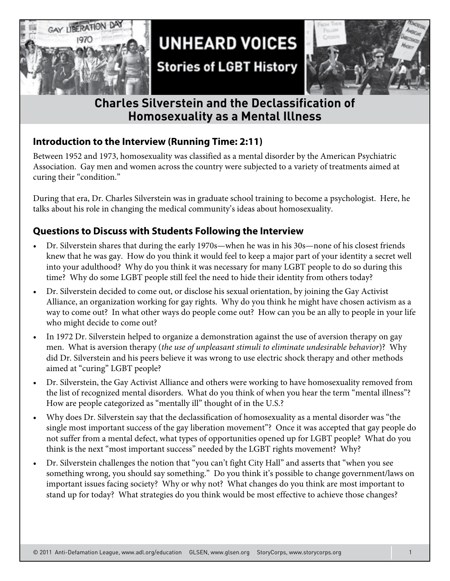

## **UNHEARD VOICES**

## **Stories of LGBT History**



### **Charles Silverstein and the Declassification of Homosexuality as a Mental Illness**

#### **Introduction to the Interview (Running Time: 2:11)**

Between 1952 and 1973, homosexuality was classified as a mental disorder by the American Psychiatric Association. Gay men and women across the country were subjected to a variety of treatments aimed at curing their "condition."

During that era, Dr. Charles Silverstein was in graduate school training to become a psychologist. Here, he talks about his role in changing the medical community's ideas about homosexuality.

#### **Questions to Discuss with Students Following the Interview**

- Dr. Silverstein shares that during the early 1970s—when he was in his 30s—none of his closest friends knew that he was gay. How do you think it would feel to keep a major part of your identity a secret well into your adulthood? Why do you think it was necessary for many LGBT people to do so during this time? Why do some LGBT people still feel the need to hide their identity from others today?
- Dr. Silverstein decided to come out, or disclose his sexual orientation, by joining the Gay Activist Alliance, an organization working for gay rights. Why do you think he might have chosen activism as a way to come out? In what other ways do people come out? How can you be an ally to people in your life who might decide to come out?
- In 1972 Dr. Silverstein helped to organize a demonstration against the use of aversion therapy on gay men. What is aversion therapy (*the use of unpleasant stimuli to eliminate undesirable behavior*)? Why did Dr. Silverstein and his peers believe it was wrong to use electric shock therapy and other methods aimed at "curing" LGBT people?
- Dr. Silverstein, the Gay Activist Alliance and others were working to have homosexuality removed from the list of recognized mental disorders. What do you think of when you hear the term "mental illness"? How are people categorized as "mentally ill" thought of in the U.S.?
- Why does Dr. Silverstein say that the declassification of homosexuality as a mental disorder was "the single most important success of the gay liberation movement"? Once it was accepted that gay people do not suffer from a mental defect, what types of opportunities opened up for LGBT people? What do you think is the next "most important success" needed by the LGBT rights movement? Why?
- Dr. Silverstein challenges the notion that "you can't fight City Hall" and asserts that "when you see something wrong, you should say something." Do you think it's possible to change government/laws on important issues facing society? Why or why not? What changes do you think are most important to stand up for today? What strategies do you think would be most effective to achieve those changes?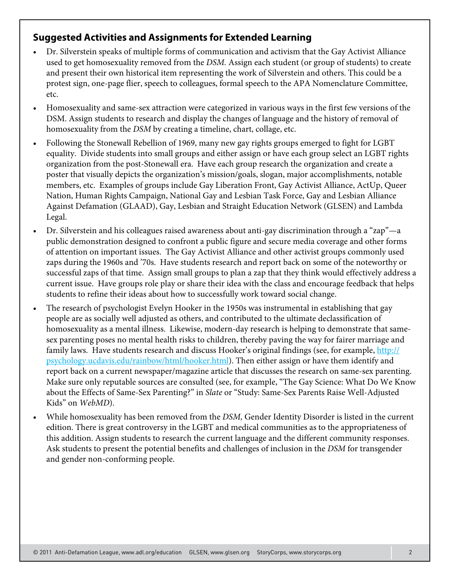#### **Suggested Activities and Assignments for Extended Learning**

- Dr. Silverstein speaks of multiple forms of communication and activism that the Gay Activist Alliance used to get homosexuality removed from the *DSM.* Assign each student (or group of students) to create and present their own historical item representing the work of Silverstein and others. This could be a protest sign, one-page flier, speech to colleagues, formal speech to the APA Nomenclature Committee, etc.
- Homosexuality and same-sex attraction were categorized in various ways in the first few versions of the DSM. Assign students to research and display the changes of language and the history of removal of homosexuality from the *DSM* by creating a timeline, chart, collage, etc.
- Following the Stonewall Rebellion of 1969, many new gay rights groups emerged to fight for LGBT equality. Divide students into small groups and either assign or have each group select an LGBT rights organization from the post-Stonewall era. Have each group research the organization and create a poster that visually depicts the organization's mission/goals, slogan, major accomplishments, notable members, etc. Examples of groups include Gay Liberation Front, Gay Activist Alliance, ActUp, Queer Nation, Human Rights Campaign, National Gay and Lesbian Task Force, Gay and Lesbian Alliance Against Defamation (GLAAD), Gay, Lesbian and Straight Education Network (GLSEN) and Lambda Legal.
- Dr. Silverstein and his colleagues raised awareness about anti-gay discrimination through a "zap"—a public demonstration designed to confront a public figure and secure media coverage and other forms of attention on important issues. The Gay Activist Alliance and other activist groups commonly used zaps during the 1960s and '70s. Have students research and report back on some of the noteworthy or successful zaps of that time. Assign small groups to plan a zap that they think would effectively address a current issue. Have groups role play or share their idea with the class and encourage feedback that helps students to refine their ideas about how to successfully work toward social change.
- The research of psychologist Evelyn Hooker in the 1950s was instrumental in establishing that gay people are as socially well adjusted as others, and contributed to the ultimate declassification of homosexuality as a mental illness. Likewise, modern-day research is helping to demonstrate that samesex parenting poses no mental health risks to children, thereby paving the way for fairer marriage and family laws. Have students research and discuss Hooker's original findings (see, for example, http:// psychology.ucdavis.edu/rainbow/html/hooker.html). Then either assign or have them identify and report back on a current newspaper/magazine article that discusses the research on same-sex parenting. Make sure only reputable sources are consulted (see, for example, "The Gay Science: What Do We Know about the Effects of Same-Sex Parenting?" in *Slate* or "Study: Same-Sex Parents Raise Well-Adjusted Kids" on *WebMD*).
- • While homosexuality has been removed from the *DSM,* Gender Identity Disorder is listed in the current edition. There is great controversy in the LGBT and medical communities as to the appropriateness of this addition. Assign students to research the current language and the different community responses. Ask students to present the potential benefits and challenges of inclusion in the *DSM* for transgender and gender non-conforming people.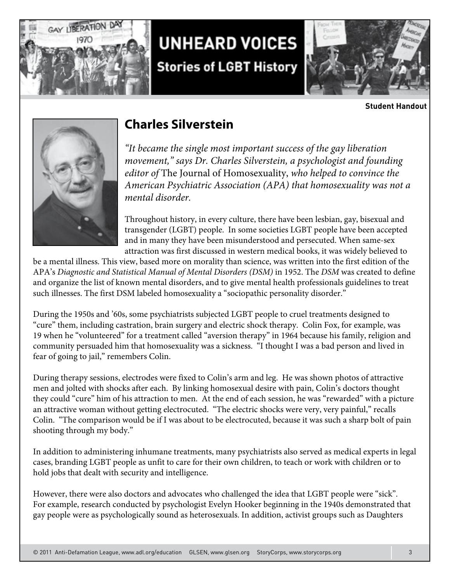

# **UNHEARD VOICES Stories of LGBT History**



**Student Handout**



### **Charles Silverstein**

*"It became the single most important success of the gay liberation movement," says Dr. Charles Silverstein, a psychologist and founding editor of* The Journal of Homosexuality, *who helped to convince the American Psychiatric Association (APA) that homosexuality was not a mental disorder.*

Throughout history, in every culture, there have been lesbian, gay, bisexual and transgender (LGBT) people. In some societies LGBT people have been accepted and in many they have been misunderstood and persecuted. When same-sex attraction was first discussed in western medical books, it was widely believed to

be a mental illness. This view, based more on morality than science, was written into the first edition of the APA's *Diagnostic and Statistical Manual of Mental Disorders (DSM)* in 1952. The *DSM* was created to define and organize the list of known mental disorders, and to give mental health professionals guidelines to treat such illnesses. The first DSM labeled homosexuality a "sociopathic personality disorder."

During the 1950s and '60s, some psychiatrists subjected LGBT people to cruel treatments designed to "cure" them, including castration, brain surgery and electric shock therapy. Colin Fox, for example, was 19 when he "volunteered" for a treatment called "aversion therapy" in 1964 because his family, religion and community persuaded him that homosexuality was a sickness. "I thought I was a bad person and lived in fear of going to jail," remembers Colin.

During therapy sessions, electrodes were fixed to Colin's arm and leg. He was shown photos of attractive men and jolted with shocks after each. By linking homosexual desire with pain, Colin's doctors thought they could "cure" him of his attraction to men. At the end of each session, he was "rewarded" with a picture an attractive woman without getting electrocuted. "The electric shocks were very, very painful," recalls Colin. "The comparison would be if I was about to be electrocuted, because it was such a sharp bolt of pain shooting through my body."

In addition to administering inhumane treatments, many psychiatrists also served as medical experts in legal cases, branding LGBT people as unfit to care for their own children, to teach or work with children or to hold jobs that dealt with security and intelligence.

However, there were also doctors and advocates who challenged the idea that LGBT people were "sick". For example, research conducted by psychologist Evelyn Hooker beginning in the 1940s demonstrated that gay people were as psychologically sound as heterosexuals. In addition, activist groups such as Daughters